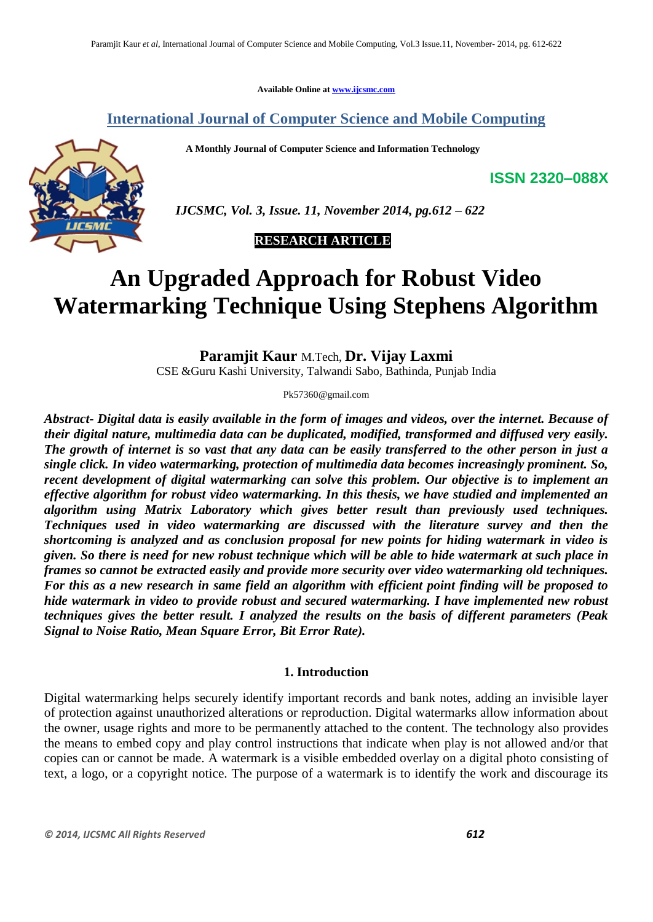**Available Online at [www.ijcsmc.com](http://www.ijcsmc.com/)**

## **International Journal of Computer Science and Mobile Computing**

 **A Monthly Journal of Computer Science and Information Technology**



 *IJCSMC, Vol. 3, Issue. 11, November 2014, pg.612 – 622*

## **RESEARCH ARTICLE**

# **An Upgraded Approach for Robust Video Watermarking Technique Using Stephens Algorithm**

**Paramjit Kaur** M.Tech, **Dr. Vijay Laxmi** 

CSE &Guru Kashi University, Talwandi Sabo, Bathinda, Punjab India

Pk57360@gmail.com

*Abstract- Digital data is easily available in the form of images and videos, over the internet. Because of their digital nature, multimedia data can be duplicated, modified, transformed and diffused very easily. The growth of internet is so vast that any data can be easily transferred to the other person in just a single click. In video watermarking, protection of multimedia data becomes increasingly prominent. So, recent development of digital watermarking can solve this problem. Our objective is to implement an effective algorithm for robust video watermarking. In this thesis, we have studied and implemented an algorithm using Matrix Laboratory which gives better result than previously used techniques. Techniques used in video watermarking are discussed with the literature survey and then the shortcoming is analyzed and as conclusion proposal for new points for hiding watermark in video is given. So there is need for new robust technique which will be able to hide watermark at such place in frames so cannot be extracted easily and provide more security over video watermarking old techniques. For this as a new research in same field an algorithm with efficient point finding will be proposed to hide watermark in video to provide robust and secured watermarking. I have implemented new robust techniques gives the better result. I analyzed the results on the basis of different parameters (Peak Signal to Noise Ratio, Mean Square Error, Bit Error Rate).*

## **1. Introduction**

Digital watermarking helps securely identify important records and bank notes, adding an invisible layer of protection against unauthorized alterations or reproduction. Digital watermarks allow information about the owner, usage rights and more to be permanently attached to the content. The technology also provides the means to embed copy and play control instructions that indicate when play is not allowed and/or that copies can or cannot be made. A watermark is a visible embedded overlay on a digital photo consisting of text, a logo, or a copyright notice. The purpose of a watermark is to identify the work and discourage its

**ISSN 2320–088X**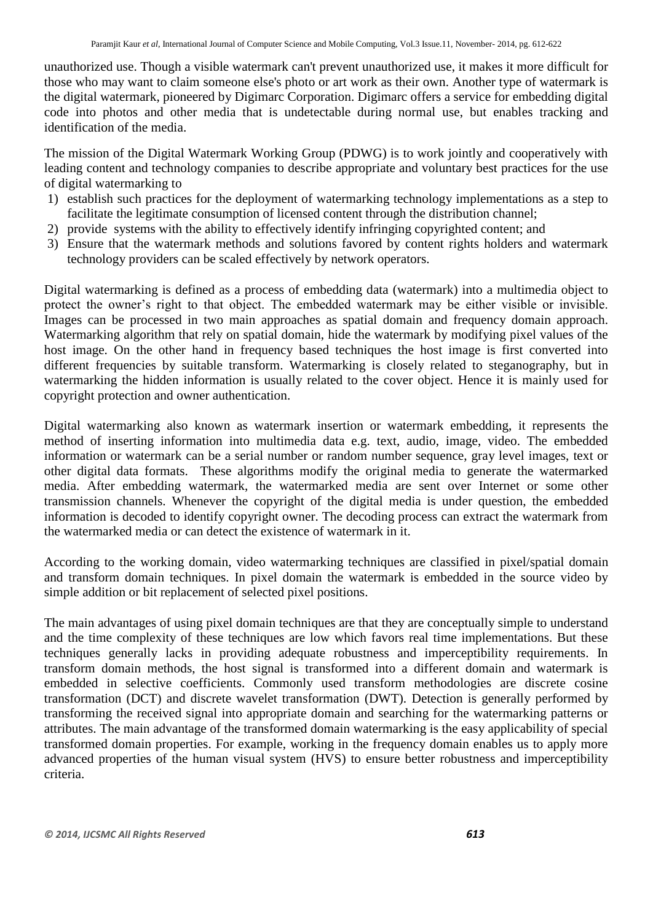unauthorized use. Though a visible watermark can't prevent unauthorized use, it makes it more difficult for those who may want to claim someone else's photo or art work as their own. Another type of watermark is the digital watermark, pioneered by Digimarc Corporation. Digimarc offers a service for embedding digital code into photos and other media that is undetectable during normal use, but enables tracking and identification of the media.

The mission of the Digital Watermark Working Group (PDWG) is to work jointly and cooperatively with leading content and technology companies to describe appropriate and voluntary best practices for the use of digital watermarking to

- 1) establish such practices for the deployment of watermarking technology implementations as a step to facilitate the legitimate consumption of licensed content through the distribution channel;
- 2) provide systems with the ability to effectively identify infringing copyrighted content; and
- 3) Ensure that the watermark methods and solutions favored by content rights holders and watermark technology providers can be scaled effectively by network operators.

Digital watermarking is defined as a process of embedding data (watermark) into a multimedia object to protect the owner's right to that object. The embedded watermark may be either visible or invisible. Images can be processed in two main approaches as spatial domain and frequency domain approach. Watermarking algorithm that rely on spatial domain, hide the watermark by modifying pixel values of the host image. On the other hand in frequency based techniques the host image is first converted into different frequencies by suitable transform. Watermarking is closely related to steganography, but in watermarking the hidden information is usually related to the cover object. Hence it is mainly used for copyright protection and owner authentication.

Digital watermarking also known as watermark insertion or watermark embedding, it represents the method of inserting information into multimedia data e.g. text, audio, image, video. The embedded information or watermark can be a serial number or random number sequence, gray level images, text or other digital data formats. These algorithms modify the original media to generate the watermarked media. After embedding watermark, the watermarked media are sent over Internet or some other transmission channels. Whenever the copyright of the digital media is under question, the embedded information is decoded to identify copyright owner. The decoding process can extract the watermark from the watermarked media or can detect the existence of watermark in it.

According to the working domain, video watermarking techniques are classified in pixel/spatial domain and transform domain techniques. In pixel domain the watermark is embedded in the source video by simple addition or bit replacement of selected pixel positions.

The main advantages of using pixel domain techniques are that they are conceptually simple to understand and the time complexity of these techniques are low which favors real time implementations. But these techniques generally lacks in providing adequate robustness and imperceptibility requirements. In transform domain methods, the host signal is transformed into a different domain and watermark is embedded in selective coefficients. Commonly used transform methodologies are discrete cosine transformation (DCT) and discrete wavelet transformation (DWT). Detection is generally performed by transforming the received signal into appropriate domain and searching for the watermarking patterns or attributes. The main advantage of the transformed domain watermarking is the easy applicability of special transformed domain properties. For example, working in the frequency domain enables us to apply more advanced properties of the human visual system (HVS) to ensure better robustness and imperceptibility criteria.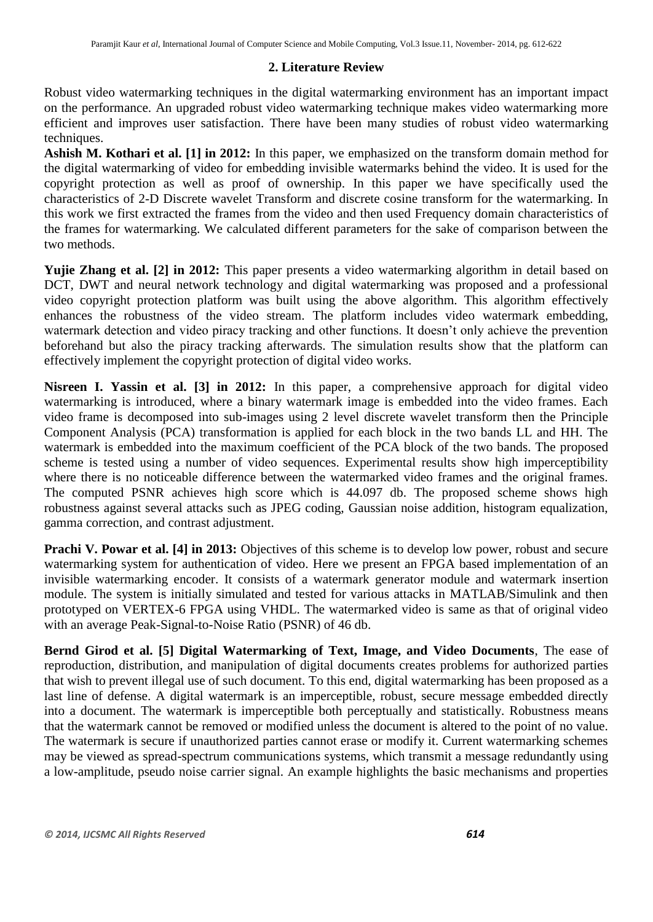#### **2. Literature Review**

Robust video watermarking techniques in the digital watermarking environment has an important impact on the performance. An upgraded robust video watermarking technique makes video watermarking more efficient and improves user satisfaction. There have been many studies of robust video watermarking techniques.

**Ashish M. Kothari et al. [1] in 2012:** In this paper, we emphasized on the transform domain method for the digital watermarking of video for embedding invisible watermarks behind the video. It is used for the copyright protection as well as proof of ownership. In this paper we have specifically used the characteristics of 2-D Discrete wavelet Transform and discrete cosine transform for the watermarking. In this work we first extracted the frames from the video and then used Frequency domain characteristics of the frames for watermarking. We calculated different parameters for the sake of comparison between the two methods.

**Yujie Zhang et al. [2] in 2012:** This paper presents a video watermarking algorithm in detail based on DCT, DWT and neural network technology and digital watermarking was proposed and a professional video copyright protection platform was built using the above algorithm. This algorithm effectively enhances the robustness of the video stream. The platform includes video watermark embedding, watermark detection and video piracy tracking and other functions. It doesn't only achieve the prevention beforehand but also the piracy tracking afterwards. The simulation results show that the platform can effectively implement the copyright protection of digital video works.

**Nisreen I. Yassin et al. [3] in 2012:** In this paper, a comprehensive approach for digital video watermarking is introduced, where a binary watermark image is embedded into the video frames. Each video frame is decomposed into sub-images using 2 level discrete wavelet transform then the Principle Component Analysis (PCA) transformation is applied for each block in the two bands LL and HH. The watermark is embedded into the maximum coefficient of the PCA block of the two bands. The proposed scheme is tested using a number of video sequences. Experimental results show high imperceptibility where there is no noticeable difference between the watermarked video frames and the original frames. The computed PSNR achieves high score which is 44.097 db. The proposed scheme shows high robustness against several attacks such as JPEG coding, Gaussian noise addition, histogram equalization, gamma correction, and contrast adjustment.

**Prachi V. Powar et al. [4] in 2013:** Objectives of this scheme is to develop low power, robust and secure watermarking system for authentication of video. Here we present an FPGA based implementation of an invisible watermarking encoder. It consists of a watermark generator module and watermark insertion module. The system is initially simulated and tested for various attacks in MATLAB/Simulink and then prototyped on VERTEX-6 FPGA using VHDL. The watermarked video is same as that of original video with an average Peak-Signal-to-Noise Ratio (PSNR) of 46 db.

**Bernd Girod et al. [5] Digital Watermarking of Text, Image, and Video Documents**, The ease of reproduction, distribution, and manipulation of digital documents creates problems for authorized parties that wish to prevent illegal use of such document. To this end, digital watermarking has been proposed as a last line of defense. A digital watermark is an imperceptible, robust, secure message embedded directly into a document. The watermark is imperceptible both perceptually and statistically. Robustness means that the watermark cannot be removed or modified unless the document is altered to the point of no value. The watermark is secure if unauthorized parties cannot erase or modify it. Current watermarking schemes may be viewed as spread-spectrum communications systems, which transmit a message redundantly using a low-amplitude, pseudo noise carrier signal. An example highlights the basic mechanisms and properties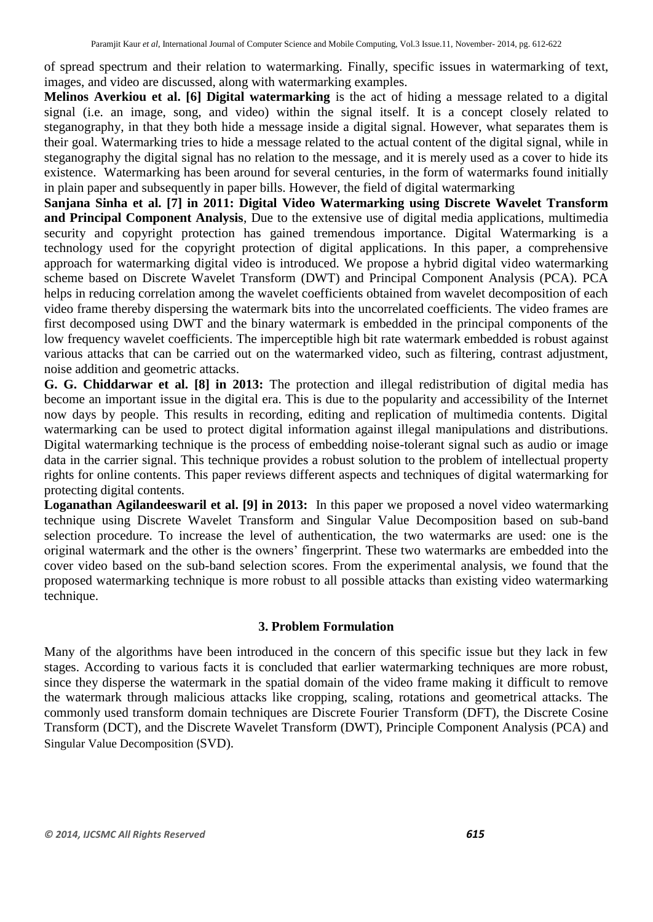of spread spectrum and their relation to watermarking. Finally, specific issues in watermarking of text, images, and video are discussed, along with watermarking examples.

**Melinos Averkiou et al. [6] Digital watermarking** is the act of hiding a message related to a digital signal (i.e. an image, song, and video) within the signal itself. It is a concept closely related to steganography, in that they both hide a message inside a digital signal. However, what separates them is their goal. Watermarking tries to hide a message related to the actual content of the digital signal, while in steganography the digital signal has no relation to the message, and it is merely used as a cover to hide its existence. Watermarking has been around for several centuries, in the form of watermarks found initially in plain paper and subsequently in paper bills. However, the field of digital watermarking

**Sanjana Sinha et al. [7] in 2011: Digital Video Watermarking using Discrete Wavelet Transform and Principal Component Analysis**, Due to the extensive use of digital media applications, multimedia security and copyright protection has gained tremendous importance. Digital Watermarking is a technology used for the copyright protection of digital applications. In this paper, a comprehensive approach for watermarking digital video is introduced. We propose a hybrid digital video watermarking scheme based on Discrete Wavelet Transform (DWT) and Principal Component Analysis (PCA). PCA helps in reducing correlation among the wavelet coefficients obtained from wavelet decomposition of each video frame thereby dispersing the watermark bits into the uncorrelated coefficients. The video frames are first decomposed using DWT and the binary watermark is embedded in the principal components of the low frequency wavelet coefficients. The imperceptible high bit rate watermark embedded is robust against various attacks that can be carried out on the watermarked video, such as filtering, contrast adjustment, noise addition and geometric attacks.

**G. G. Chiddarwar et al. [8] in 2013:** The protection and illegal redistribution of digital media has become an important issue in the digital era. This is due to the popularity and accessibility of the Internet now days by people. This results in recording, editing and replication of multimedia contents. Digital watermarking can be used to protect digital information against illegal manipulations and distributions. Digital watermarking technique is the process of embedding noise-tolerant signal such as audio or image data in the carrier signal. This technique provides a robust solution to the problem of intellectual property rights for online contents. This paper reviews different aspects and techniques of digital watermarking for protecting digital contents.

**Loganathan Agilandeeswaril et al. [9] in 2013:** In this paper we proposed a novel video watermarking technique using Discrete Wavelet Transform and Singular Value Decomposition based on sub-band selection procedure. To increase the level of authentication, the two watermarks are used: one is the original watermark and the other is the owners' fingerprint. These two watermarks are embedded into the cover video based on the sub-band selection scores. From the experimental analysis, we found that the proposed watermarking technique is more robust to all possible attacks than existing video watermarking technique.

#### **3. Problem Formulation**

Many of the algorithms have been introduced in the concern of this specific issue but they lack in few stages. According to various facts it is concluded that earlier watermarking techniques are more robust, since they disperse the watermark in the spatial domain of the video frame making it difficult to remove the watermark through malicious attacks like cropping, scaling, rotations and geometrical attacks. The commonly used transform domain techniques are Discrete Fourier Transform (DFT), the Discrete Cosine Transform (DCT), and the Discrete Wavelet Transform (DWT), Principle Component Analysis (PCA) and Singular Value Decomposition (SVD).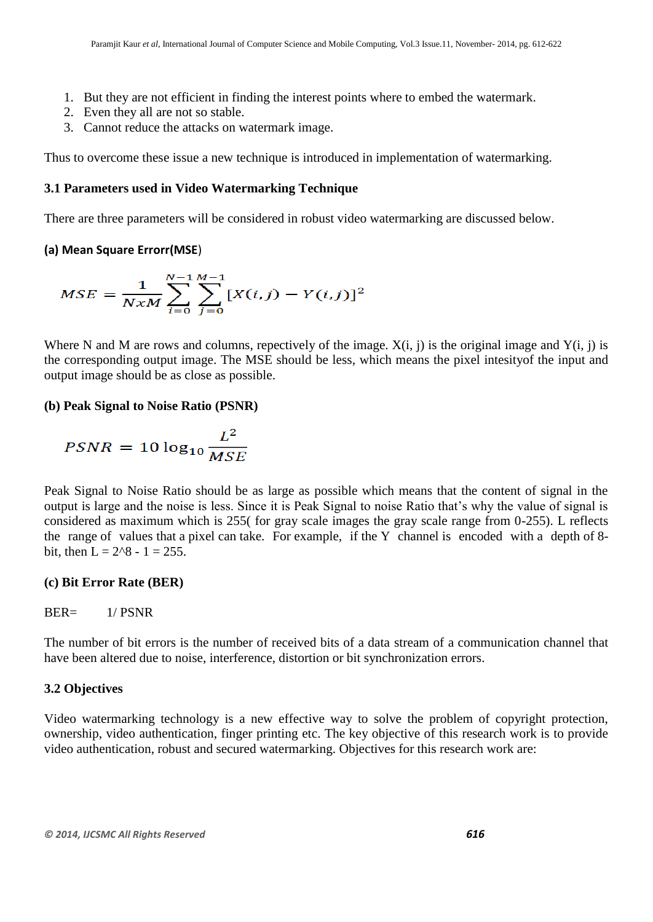- 1. But they are not efficient in finding the interest points where to embed the watermark.
- 2. Even they all are not so stable.
- 3. Cannot reduce the attacks on watermark image.

Thus to overcome these issue a new technique is introduced in implementation of watermarking.

## **3.1 Parameters used in Video Watermarking Technique**

There are three parameters will be considered in robust video watermarking are discussed below.

## **(a) Mean Square Errorr(MSE**)

$$
MSE = \frac{1}{NxM} \sum_{i=0}^{N-1} \sum_{j=0}^{M-1} [X(i,j) - Y(i,j)]^2
$$

Where N and M are rows and columns, repectively of the image.  $X(i, j)$  is the original image and  $Y(i, j)$  is the corresponding output image. The MSE should be less, which means the pixel intesityof the input and output image should be as close as possible.

## **(b) Peak Signal to Noise Ratio (PSNR)**

$$
PSNR = 10 \log_{10} \frac{L^2}{MSE}
$$

Peak Signal to Noise Ratio should be as large as possible which means that the content of signal in the output is large and the noise is less. Since it is Peak Signal to noise Ratio that's why the value of signal is considered as maximum which is 255( for gray scale images the gray scale range from 0-255). L reflects the range of values that a pixel can take. For example, if the Y channel is encoded with a depth of 8 bit, then  $L = 2^8 - 1 = 255$ .

#### **(c) Bit Error Rate (BER)**

## BER= 1/ PSNR

The number of bit errors is the number of received bits of a data stream of a communication channel that have been altered due to noise, interference, distortion or bit synchronization errors.

#### **3.2 Objectives**

Video watermarking technology is a new effective way to solve the problem of copyright protection, ownership, video authentication, finger printing etc. The key objective of this research work is to provide video authentication, robust and secured watermarking. Objectives for this research work are: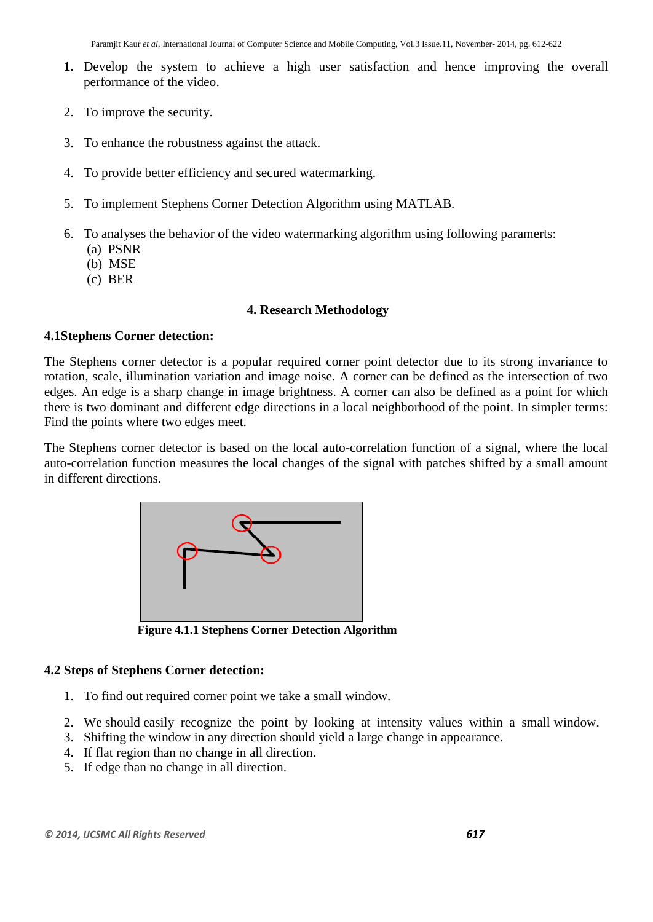- **1.** Develop the system to achieve a high user satisfaction and hence improving the overall performance of the video.
- 2. To improve the security.
- 3. To enhance the robustness against the attack.
- 4. To provide better efficiency and secured watermarking.
- 5. To implement Stephens Corner Detection Algorithm using MATLAB.
- 6. To analyses the behavior of the video watermarking algorithm using following paramerts:
	- (a) PSNR
	- (b) MSE
	- (c) BER

## **4. Research Methodology**

## **4.1Stephens Corner detection:**

The Stephens corner detector is a popular required corner point detector due to its strong invariance to rotation, scale, illumination variation and image noise. A corner can be defined as the intersection of two edges. An edge is a sharp change in image brightness. A corner can also be defined as a point for which there is two dominant and different edge directions in a local neighborhood of the point. In simpler terms: Find the points where two edges meet.

The Stephens corner detector is based on the local auto-correlation function of a signal, where the local auto-correlation function measures the local changes of the signal with patches shifted by a small amount in different directions.



 **Figure 4.1.1 Stephens Corner Detection Algorithm**

#### **4.2 Steps of Stephens Corner detection:**

- 1. To find out required corner point we take a small window.
- 2. We should easily recognize the point by looking at intensity values within a small window.
- 3. Shifting the window in any direction should yield a large change in appearance.
- 4. If flat region than no change in all direction.
- 5. If edge than no change in all direction.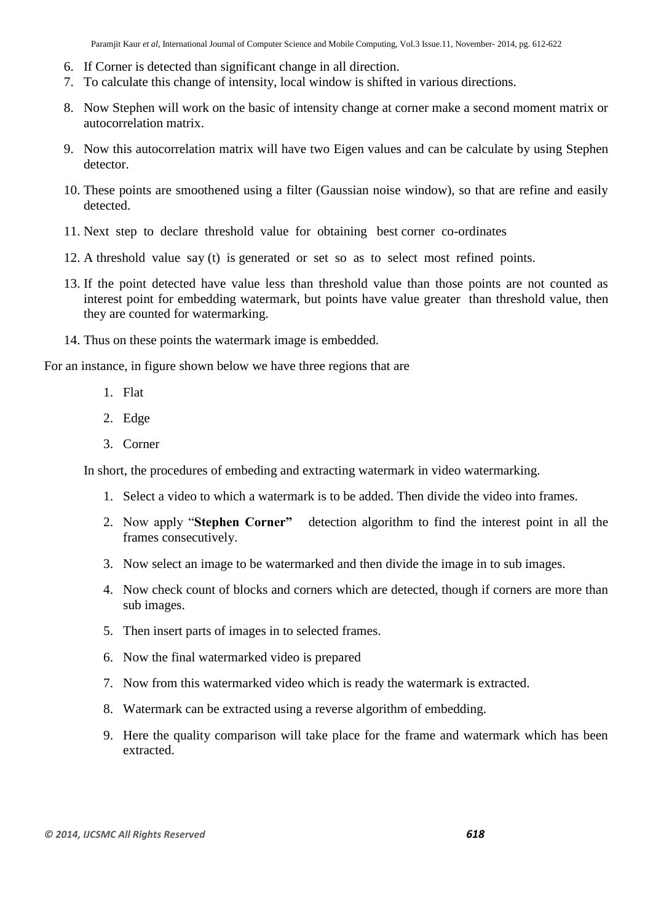- 6. If Corner is detected than significant change in all direction.
- 7. To calculate this change of intensity, local window is shifted in various directions.
- 8. Now Stephen will work on the basic of intensity change at corner make a second moment matrix or autocorrelation matrix.
- 9. Now this autocorrelation matrix will have two Eigen values and can be calculate by using Stephen detector.
- 10. These points are smoothened using a filter (Gaussian noise window), so that are refine and easily detected.
- 11. Next step to declare threshold value for obtaining best corner co-ordinates
- 12. A threshold value say (t) is generated or set so as to select most refined points.
- 13. If the point detected have value less than threshold value than those points are not counted as interest point for embedding watermark, but points have value greater than threshold value, then they are counted for watermarking.
- 14. Thus on these points the watermark image is embedded.

For an instance, in figure shown below we have three regions that are

- 1. Flat
- 2. Edge
- 3. Corner

In short, the procedures of embeding and extracting watermark in video watermarking.

- 1. Select a video to which a watermark is to be added. Then divide the video into frames.
- 2. Now apply "**Stephen Corner"** detection algorithm to find the interest point in all the frames consecutively.
- 3. Now select an image to be watermarked and then divide the image in to sub images.
- 4. Now check count of blocks and corners which are detected, though if corners are more than sub images.
- 5. Then insert parts of images in to selected frames.
- 6. Now the final watermarked video is prepared
- 7. Now from this watermarked video which is ready the watermark is extracted.
- 8. Watermark can be extracted using a reverse algorithm of embedding.
- 9. Here the quality comparison will take place for the frame and watermark which has been extracted.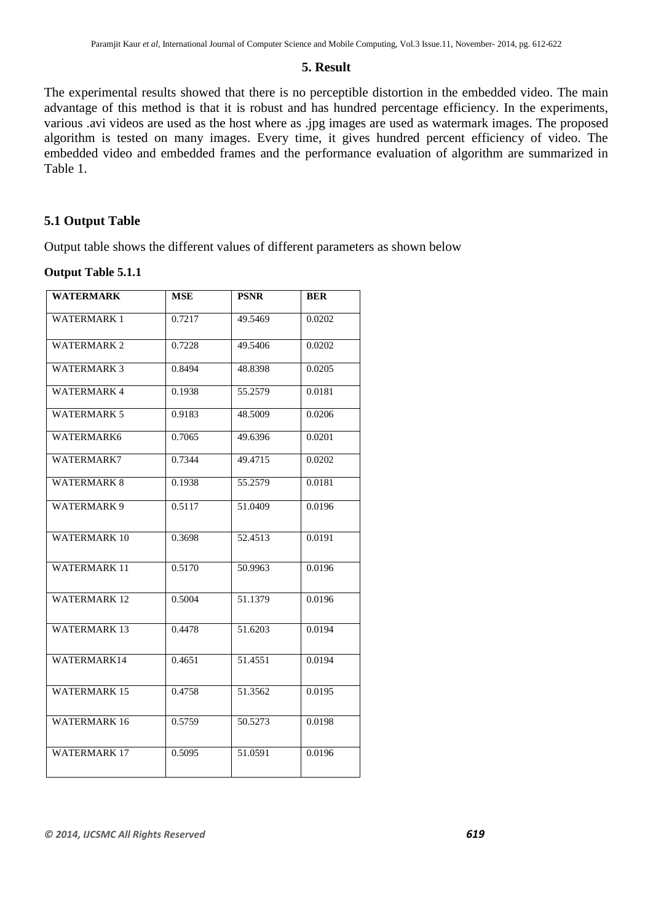#### **5. Result**

The experimental results showed that there is no perceptible distortion in the embedded video. The main advantage of this method is that it is robust and has hundred percentage efficiency. In the experiments, various .avi videos are used as the host where as .jpg images are used as watermark images. The proposed algorithm is tested on many images. Every time, it gives hundred percent efficiency of video. The embedded video and embedded frames and the performance evaluation of algorithm are summarized in Table 1.

## **5.1 Output Table**

Output table shows the different values of different parameters as shown below

#### **Output Table 5.1.1**

| <b>WATERMARK</b>    | <b>MSE</b> | <b>PSNR</b> | <b>BER</b> |
|---------------------|------------|-------------|------------|
|                     |            |             |            |
| <b>WATERMARK1</b>   | 0.7217     | 49.5469     | 0.0202     |
| <b>WATERMARK 2</b>  | 0.7228     | 49.5406     | 0.0202     |
| <b>WATERMARK 3</b>  | 0.8494     | 48.8398     | 0.0205     |
| <b>WATERMARK 4</b>  | 0.1938     | 55.2579     | 0.0181     |
| <b>WATERMARK 5</b>  | 0.9183     | 48.5009     | 0.0206     |
| WATERMARK6          | 0.7065     | 49.6396     | 0.0201     |
| WATERMARK7          | 0.7344     | 49.4715     | 0.0202     |
| <b>WATERMARK 8</b>  | 0.1938     | 55.2579     | 0.0181     |
| <b>WATERMARK 9</b>  | 0.5117     | 51.0409     | 0.0196     |
| <b>WATERMARK 10</b> | 0.3698     | 52.4513     | 0.0191     |
| <b>WATERMARK 11</b> | 0.5170     | 50.9963     | 0.0196     |
| <b>WATERMARK 12</b> | 0.5004     | 51.1379     | 0.0196     |
| <b>WATERMARK 13</b> | 0.4478     | 51.6203     | 0.0194     |
| WATERMARK14         | 0.4651     | 51.4551     | 0.0194     |
| <b>WATERMARK 15</b> | 0.4758     | 51.3562     | 0.0195     |
| <b>WATERMARK 16</b> | 0.5759     | 50.5273     | 0.0198     |
| <b>WATERMARK 17</b> | 0.5095     | 51.0591     | 0.0196     |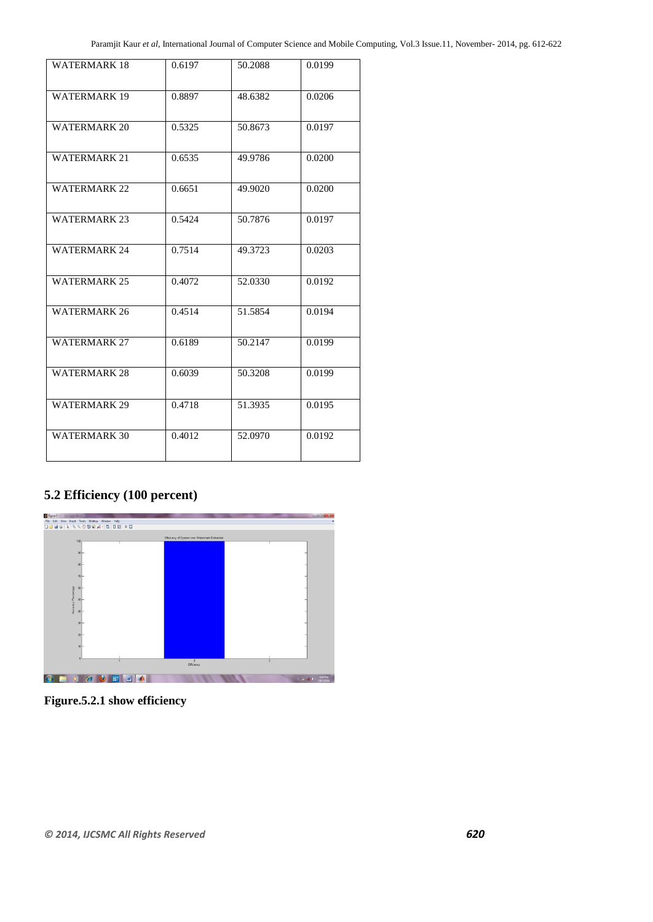| <b>WATERMARK 18</b> | 0.6197 | 50.2088 | 0.0199 |
|---------------------|--------|---------|--------|
| <b>WATERMARK 19</b> | 0.8897 | 48.6382 | 0.0206 |
| <b>WATERMARK 20</b> | 0.5325 | 50.8673 | 0.0197 |
| <b>WATERMARK 21</b> | 0.6535 | 49.9786 | 0.0200 |
| <b>WATERMARK 22</b> | 0.6651 | 49.9020 | 0.0200 |
| <b>WATERMARK 23</b> | 0.5424 | 50.7876 | 0.0197 |
| <b>WATERMARK 24</b> | 0.7514 | 49.3723 | 0.0203 |
| <b>WATERMARK 25</b> | 0.4072 | 52.0330 | 0.0192 |
| <b>WATERMARK 26</b> | 0.4514 | 51.5854 | 0.0194 |
| <b>WATERMARK 27</b> | 0.6189 | 50.2147 | 0.0199 |
| <b>WATERMARK 28</b> | 0.6039 | 50.3208 | 0.0199 |
| <b>WATERMARK 29</b> | 0.4718 | 51.3935 | 0.0195 |
| <b>WATERMARK 30</b> | 0.4012 | 52.0970 | 0.0192 |

## **5.2 Efficiency (100 percent)**



**Figure.5.2.1 show efficiency**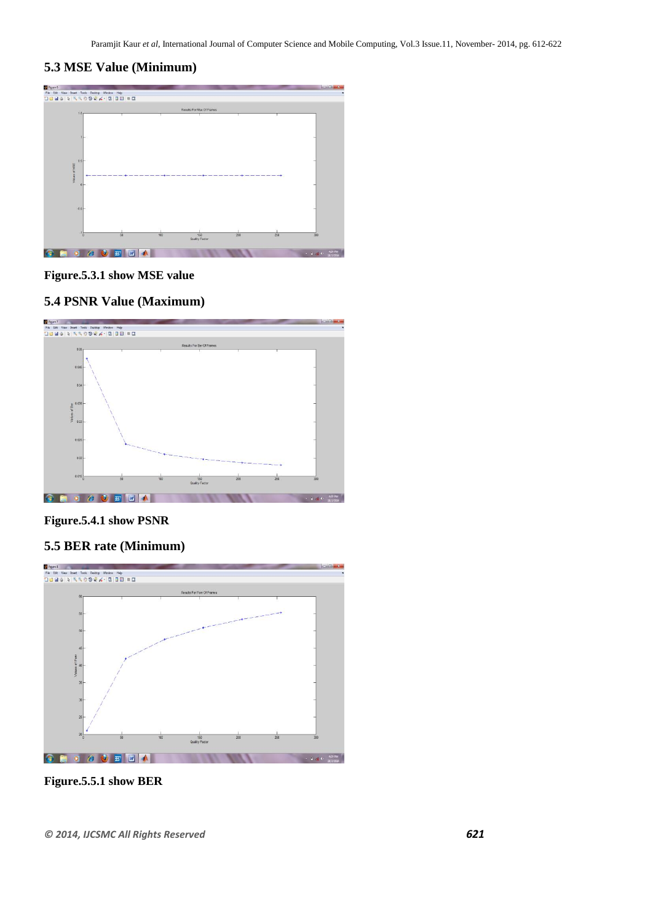## **5.3 MSE Value (Minimum)**



#### **Figure.5.3.1 show MSE value**

## **5.4 PSNR Value (Maximum)**



#### **Figure.5.4.1 show PSNR**

## **5.5 BER rate (Minimum)**



**Figure.5.5.1 show BER**